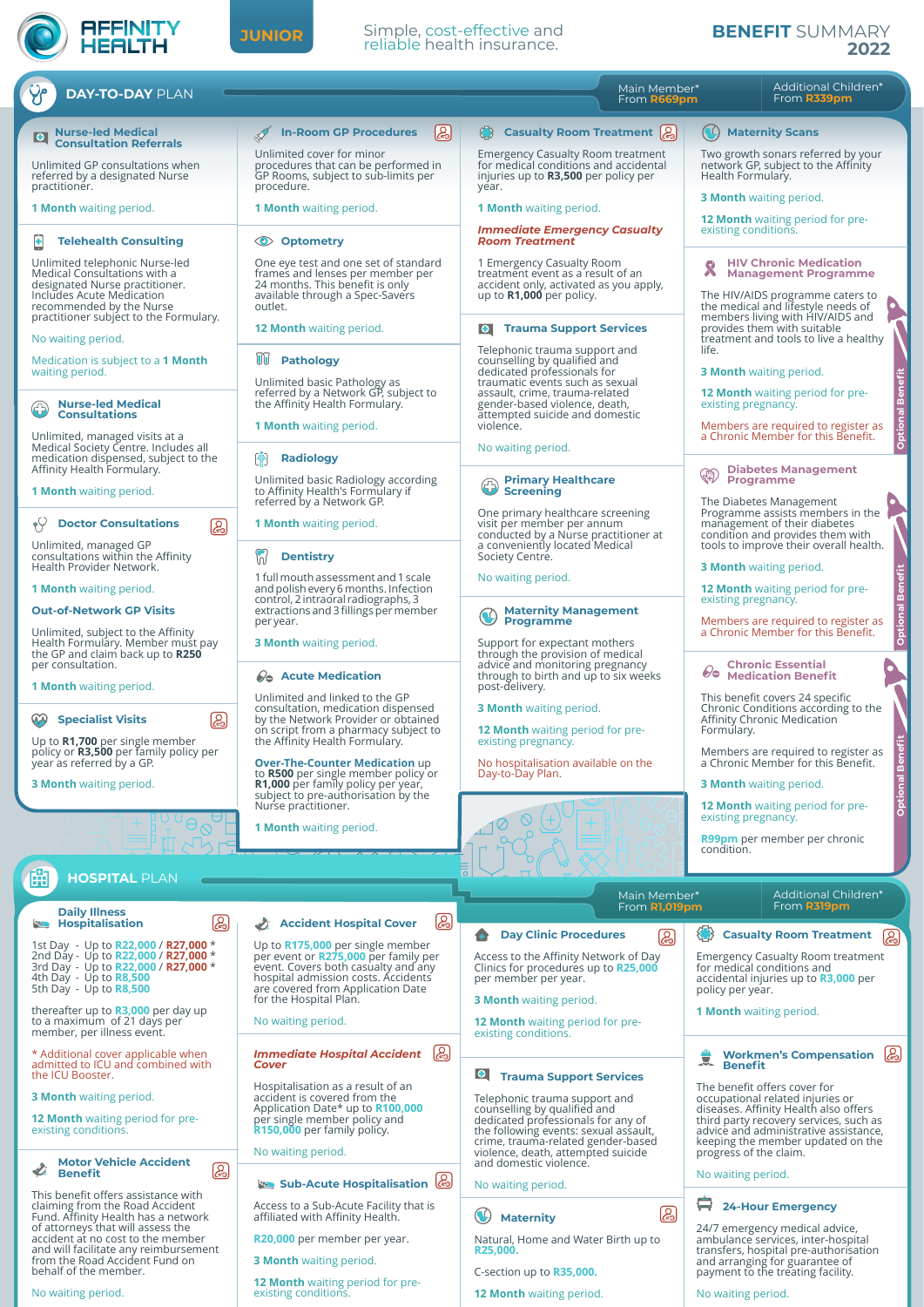

## **JUNIOR**

## Simple, cost-effective and reliable health insurance.

## **BENEFIT** SUMMARY **2022**

| <b>DAY-TO-DAY PLAN</b>                                                                                                                                                                              |                                                                                                                                                           | Main Member*<br>From R669pm                                                                                                                                                             | Additional Children*<br>From R339pm                                                                                                                                                     |
|-----------------------------------------------------------------------------------------------------------------------------------------------------------------------------------------------------|-----------------------------------------------------------------------------------------------------------------------------------------------------------|-----------------------------------------------------------------------------------------------------------------------------------------------------------------------------------------|-----------------------------------------------------------------------------------------------------------------------------------------------------------------------------------------|
| <b>Nurse-led Medical</b><br>$  \bullet  $<br><b>Consultation Referrals</b>                                                                                                                          | ြု<br><b>In-Room GP Procedures</b>                                                                                                                        | Casualty Room Treatment (2)                                                                                                                                                             | $(\lambda)$<br><b>Maternity Scans</b>                                                                                                                                                   |
| Unlimited GP consultations when<br>referred by a designated Nurse<br>practitioner.                                                                                                                  | Unlimited cover for minor<br>procedures that can be performed in<br>GP Rooms, subject to sub-limits per<br>procedure.                                     | <b>Emergency Casualty Room treatment</b><br>for medical conditions and accidental<br>injuries up to <b>R3,500</b> per policy per<br>year.                                               | Two growth sonars referred by your<br>network GP, subject to the Affinity<br>Health Formulary.                                                                                          |
| <b>1 Month</b> waiting period.                                                                                                                                                                      | <b>1 Month</b> waiting period.                                                                                                                            | <b>1 Month</b> waiting period.                                                                                                                                                          | <b>3 Month</b> waiting period.                                                                                                                                                          |
| <b>Telehealth Consulting</b><br>٠                                                                                                                                                                   | <b>C</b> Optometry                                                                                                                                        | <b>Immediate Emergency Casualty</b><br><b>Room Treatment</b>                                                                                                                            | <b>12 Month</b> waiting period for pre-<br>existing conditions.                                                                                                                         |
| Unlimited telephonic Nurse-led<br>Medical Consultations with a<br>designated Nurse practitioner.<br>Includes Acute Medication<br>recommended by the Nurse<br>practitioner subject to the Formulary. | One eye test and one set of standard<br>frames and lenses per member per<br>24 months. This benefit is only<br>available through a Spec-Savers<br>outlet. | 1 Emergency Casualty Room<br>treatment event as a result of an<br>accident only, activated as you apply,<br>up to $R1,000$ per policy.                                                  | <b>HIV Chronic Medication</b><br><b>Management Programme</b><br>The HIV/AIDS programme caters to<br>the medical and lifestyle needs of<br>members living with HIV/AIDS and              |
| No waiting period.                                                                                                                                                                                  | <b>12 Month</b> waiting period.                                                                                                                           | <b>Trauma Support Services</b><br> 0                                                                                                                                                    | provides them with suitable<br>treatment and tools to live a healthy                                                                                                                    |
| Medication is subject to a 1 Month<br>waiting period.                                                                                                                                               | UU<br><b>Pathology</b><br>Unlimited basic Pathology as<br>referred by a Network GP, subject to                                                            | Telephonic trauma support and<br>counselling by qualified and<br>dedicated professionals for<br>traumatic events such as sexual<br>assault, crime, trauma-related                       | life.<br><b>3 Month</b> waiting period.                                                                                                                                                 |
| <b>Nurse-led Medical</b><br><b>Consultations</b>                                                                                                                                                    | the Affinity Health Formulary.<br><b>1 Month</b> waiting period.                                                                                          | gender-based violence, death,<br>attempted suicide and domestic<br>violence.                                                                                                            | <b>Optional Bene</b><br><b>12 Month</b> waiting period for pre-<br>existing pregnancy.<br>Members are required to register as                                                           |
| Unlimited, managed visits at a<br>Medical Society Centre. Includes all<br>medication dispensed, subject to the                                                                                      | <b>Radiology</b>                                                                                                                                          | No waiting period.                                                                                                                                                                      | a Chronic Member for this Benefit.                                                                                                                                                      |
| Affinity Health Formulary.<br><b>1 Month</b> waiting period.                                                                                                                                        | Unlimited basic Radiology according<br>to Affinity Health's Formulary if<br>referred by a Network GP.                                                     | <b>Primary Healthcare</b><br><b>Screening</b>                                                                                                                                           | <b>Diabetes Management</b><br><b>QD</b><br><b>Programme</b>                                                                                                                             |
| $\gamma$<br><b>Doctor Consultations</b><br>ඏ                                                                                                                                                        | <b>1 Month</b> waiting period.                                                                                                                            | One primary healthcare screening<br>visit per member per annum<br>conducted by a Nurse practitioner at                                                                                  | The Diabetes Management<br>Programme assists members in the<br>management of their diabetes<br>condition and provides them with                                                         |
| Unlimited, managed GP<br>consultations within the Affinity<br>Health Provider Network.                                                                                                              | $\sqrt{2}$<br><b>Dentistry</b>                                                                                                                            | a conveniently located Medical<br>Society Centre.                                                                                                                                       | tools to improve their overall health.<br><b>3 Month</b> waiting period.                                                                                                                |
| <b>1 Month</b> waiting period.                                                                                                                                                                      | 1 full mouth assessment and 1 scale<br>and polish every 6 months. Infection<br>control, 2 intraoral radiographs, 3                                        | No waiting period.                                                                                                                                                                      | <b>Optional Benefit</b><br><b>12 Month</b> waiting period for pre-<br>existing pregnancy.                                                                                               |
| <b>Out-of-Network GP Visits</b>                                                                                                                                                                     | extractions and 3 fillings per member<br>per year.                                                                                                        | <b>Maternity Management</b><br><b>Programme</b>                                                                                                                                         | Members are required to register as                                                                                                                                                     |
| Unlimited, subject to the Affinity<br>Health Formulary. Member must pay<br>the GP and claim back up to R250<br>per consultation.                                                                    | <b>3 Month</b> waiting period.                                                                                                                            | Support for expectant mothers<br>through the provision of medical<br>advice and monitoring pregnancy                                                                                    | a Chronic Member for this Benefit.<br><b>Chronic Essential</b>                                                                                                                          |
| <b>1 Month</b> waiting period.                                                                                                                                                                      | <b>2</b> Acute Medication<br>Unlimited and linked to the GP                                                                                               | through to birth and up to six weeks<br>post-delivery.                                                                                                                                  | ୫∍<br><b>Medication Benefit</b><br>This benefit covers 24 specific                                                                                                                      |
| இ<br><b>Specialist Visits</b><br>Up to R1,700 per single member                                                                                                                                     | consultation, medication dispensed<br>by the Network Provider or obtained<br>on script from a pharmacy subject to<br>the Affinity Health Formulary.       | <b>3 Month</b> waiting period.<br><b>12 Month</b> waiting period for pre-<br>existing pregnancy.                                                                                        | Chronic Conditions according to the<br>Affinity Chronic Medication<br>Formulary.                                                                                                        |
| policy or <b>R3,500</b> per family policy per<br>year as referred by a GP.<br><b>3 Month</b> waiting period.                                                                                        | <b>Over-The-Counter Medication up</b><br>to R500 per single member policy or<br>R1,000 per family policy per year,                                        | No hospitalisation available on the<br>Day-to-Day Plan.                                                                                                                                 | Members are required to register as<br>a Chronic Member for this Benefit.<br><b>3 Month</b> waiting period.                                                                             |
|                                                                                                                                                                                                     | subject to pre-authorisation by the<br>Nurse practitioner.                                                                                                |                                                                                                                                                                                         | <b>Optional Be</b><br><b>12 Month</b> waiting period for pre-                                                                                                                           |
|                                                                                                                                                                                                     | <b>1 Month</b> waiting period.                                                                                                                            |                                                                                                                                                                                         | existing pregnancy.<br>R99pm per member per chronic<br>condition.                                                                                                                       |
| 齨<br><b>HOSPITAL PLAN</b>                                                                                                                                                                           |                                                                                                                                                           |                                                                                                                                                                                         |                                                                                                                                                                                         |
| <b>Daily Illness</b>                                                                                                                                                                                |                                                                                                                                                           | Main Member*<br>From <b>R1,019pm</b>                                                                                                                                                    | Additional Children*<br>From <b>R319pm</b>                                                                                                                                              |
| இ<br><b>B</b> Hospitalisation<br>1st Day - Up to R22,000 / R27,000 *                                                                                                                                | ௐ<br><b>Accident Hospital Cover</b><br>Up to R175,000 per single member                                                                                   | <b>Day Clinic Procedures</b><br>ඹ<br>e                                                                                                                                                  | <b>Casualty Room Treatment</b><br>இ                                                                                                                                                     |
| 2nd Day - Up to R22,000 / R27,000 *<br>3rd Day - Up to R22,000 / R27,000 *<br>4th Day - Up to <b>R8,500</b><br>5th Day - Up to $R8,500$                                                             | per event or R275,000 per family per<br>event. Covers both casualty and any<br>hospital admission costs. Accidents<br>are covered from Application Date   | Access to the Affinity Network of Day<br>Clinics for procedures up to R25,000<br>per member per year.                                                                                   | <b>Emergency Casualty Room treatment</b><br>for medical conditions and<br>accidental injuries up to R3,000 per<br>policy per year.                                                      |
| thereafter up to R3,000 per day up<br>to a maximum of 21 days per<br>member, per illness event.                                                                                                     | for the Hospital Plan.<br>No waiting period.                                                                                                              | <b>3 Month</b> waiting period.<br><b>12 Month</b> waiting period for pre-<br>existing conditions.                                                                                       | <b>1 Month</b> waiting period.                                                                                                                                                          |
| * Additional cover applicable when<br>admitted to ICU and combined with<br>the ICU Booster.                                                                                                         | (e)<br><b>Immediate Hospital Accident</b><br><b>Cover</b>                                                                                                 | $  \bullet  $<br><b>Trauma Support Services</b>                                                                                                                                         | ு<br>$\bullet$<br><b>Workmen's Compensation</b><br><b>Benefit</b>                                                                                                                       |
| <b>3 Month</b> waiting period.                                                                                                                                                                      | Hospitalisation as a result of an<br>accident is covered from the                                                                                         | Telephonic trauma support and                                                                                                                                                           | The benefit offers cover for<br>occupational related injuries or                                                                                                                        |
| <b>12 Month</b> waiting period for pre-<br>existing conditions.                                                                                                                                     | Application Date* up to R100,000<br>per single member policy and<br>R150,000 per family policy.<br>No waiting period.                                     | counselling by qualified and<br>dedicated professionals for any of<br>the following events: sexual assault,<br>crime, trauma-related gender-based<br>violence, death, attempted suicide | diseases. Affinity Health also offers<br>third party recovery services, such as<br>advice and administrative assistance,<br>keeping the member updated on the<br>progress of the claim. |
| <b>Motor Vehicle Accident</b><br>(2)<br><b>Benefit</b>                                                                                                                                              | Sub-Acute Hospitalisation                                                                                                                                 | and domestic violence.<br>No waiting period.                                                                                                                                            | No waiting period.                                                                                                                                                                      |
| This benefit offers assistance with<br>claiming from the Road Accident                                                                                                                              | Access to a Sub-Acute Facility that is                                                                                                                    | இ                                                                                                                                                                                       | e<br><b>24-Hour Emergency</b>                                                                                                                                                           |
| Fund. Affinity Health has a network<br>of attorneys that will assess the<br>accident at no cost to the member                                                                                       | affiliated with Affinity Health.<br>R20,000 per member per year.                                                                                          | $\mathbf{C}$<br><b>Maternity</b><br>Natural, Home and Water Birth up to                                                                                                                 | 24/7 emergency medical advice,<br>ambulance services, inter-hospital                                                                                                                    |
| and will facilitate any reimbursement<br>from the Road Accident Fund on<br>behalf of the member.                                                                                                    | <b>3 Month</b> waiting period.                                                                                                                            | R25,000.<br>C-section up to R35,000.                                                                                                                                                    | transfers, hospital pre-authorisation<br>and arranging for guarantee of<br>payment to the treating facility.                                                                            |
| No waiting period.                                                                                                                                                                                  | <b>12 Month</b> waiting period for pre-<br>existing conditions.                                                                                           | 12 Month waiting period.                                                                                                                                                                | No waiting period.                                                                                                                                                                      |